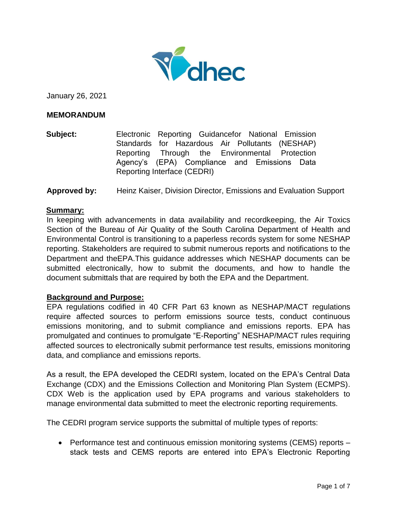

January 26, 2021

#### **MEMORANDUM**

**Subject:** Electronic Reporting Guidancefor National Emission Standards for Hazardous Air Pollutants (NESHAP) Reporting Through the Environmental Protection Agency's (EPA) Compliance and Emissions Data Reporting Interface (CEDRI)

**Approved by:** Heinz Kaiser, Division Director, Emissions and Evaluation Support

#### **Summary:**

In keeping with advancements in data availability and recordkeeping, the Air Toxics Section of the Bureau of Air Quality of the South Carolina Department of Health and Environmental Control is transitioning to a paperless records system for some NESHAP reporting. Stakeholders are required to submit numerous reports and notifications to the Department and theEPA.This guidance addresses which NESHAP documents can be submitted electronically, how to submit the documents, and how to handle the document submittals that are required by both the EPA and the Department.

#### **Background and Purpose:**

EPA regulations codified in 40 CFR Part 63 known as NESHAP/MACT regulations require affected sources to perform emissions source tests, conduct continuous emissions monitoring, and to submit compliance and emissions reports. EPA has promulgated and continues to promulgate "E-Reporting" NESHAP/MACT rules requiring affected sources to electronically submit performance test results, emissions monitoring data, and compliance and emissions reports.

As a result, the EPA developed the CEDRI system, located on the EPA's Central Data Exchange (CDX) and the Emissions Collection and Monitoring Plan System (ECMPS). CDX Web is the application used by EPA programs and various stakeholders to manage environmental data submitted to meet the electronic reporting requirements.

The CEDRI program service supports the submittal of multiple types of reports:

• Performance test and continuous emission monitoring systems (CEMS) reports – stack tests and CEMS reports are entered into EPA's Electronic Reporting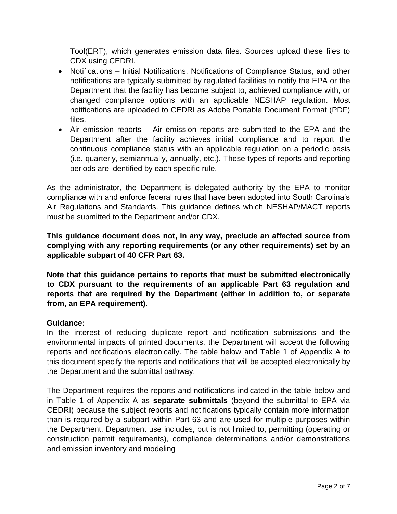Tool(ERT), which generates emission data files. Sources upload these files to CDX using CEDRI.

- Notifications Initial Notifications, Notifications of Compliance Status, and other notifications are typically submitted by regulated facilities to notify the EPA or the Department that the facility has become subject to, achieved compliance with, or changed compliance options with an applicable NESHAP regulation. Most notifications are uploaded to CEDRI as Adobe Portable Document Format (PDF) files.
- Air emission reports Air emission reports are submitted to the EPA and the Department after the facility achieves initial compliance and to report the continuous compliance status with an applicable regulation on a periodic basis (i.e. quarterly, semiannually, annually, etc.). These types of reports and reporting periods are identified by each specific rule.

As the administrator, the Department is delegated authority by the EPA to monitor compliance with and enforce federal rules that have been adopted into South Carolina's Air Regulations and Standards. This guidance defines which NESHAP/MACT reports must be submitted to the Department and/or CDX.

**This guidance document does not, in any way, preclude an affected source from complying with any reporting requirements (or any other requirements) set by an applicable subpart of 40 CFR Part 63.**

**Note that this guidance pertains to reports that must be submitted electronically to CDX pursuant to the requirements of an applicable Part 63 regulation and reports that are required by the Department (either in addition to, or separate from, an EPA requirement).**

## **Guidance:**

In the interest of reducing duplicate report and notification submissions and the environmental impacts of printed documents, the Department will accept the following reports and notifications electronically. The table below and Table 1 of Appendix A to this document specify the reports and notifications that will be accepted electronically by the Department and the submittal pathway.

The Department requires the reports and notifications indicated in the table below and in Table 1 of Appendix A as **separate submittals** (beyond the submittal to EPA via CEDRI) because the subject reports and notifications typically contain more information than is required by a subpart within Part 63 and are used for multiple purposes within the Department. Department use includes, but is not limited to, permitting (operating or construction permit requirements), compliance determinations and/or demonstrations and emission inventory and modeling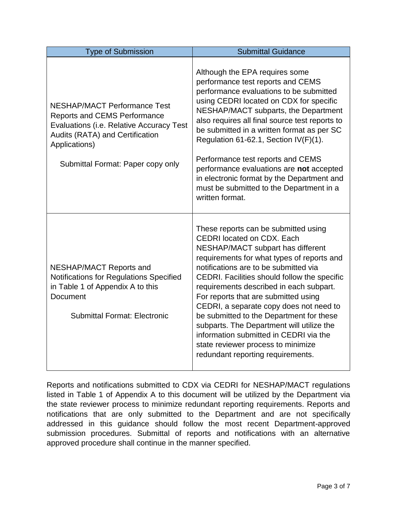| <b>Type of Submission</b>                                                                                                                                                                                       | <b>Submittal Guidance</b>                                                                                                                                                                                                                                                                                                                                                                                                                                                                                                                                                                         |
|-----------------------------------------------------------------------------------------------------------------------------------------------------------------------------------------------------------------|---------------------------------------------------------------------------------------------------------------------------------------------------------------------------------------------------------------------------------------------------------------------------------------------------------------------------------------------------------------------------------------------------------------------------------------------------------------------------------------------------------------------------------------------------------------------------------------------------|
| <b>NESHAP/MACT Performance Test</b><br><b>Reports and CEMS Performance</b><br>Evaluations (i.e. Relative Accuracy Test<br>Audits (RATA) and Certification<br>Applications)<br>Submittal Format: Paper copy only | Although the EPA requires some<br>performance test reports and CEMS<br>performance evaluations to be submitted<br>using CEDRI located on CDX for specific<br>NESHAP/MACT subparts, the Department<br>also requires all final source test reports to<br>be submitted in a written format as per SC<br>Regulation 61-62.1, Section IV(F)(1).<br>Performance test reports and CEMS<br>performance evaluations are not accepted<br>in electronic format by the Department and<br>must be submitted to the Department in a<br>written format.                                                          |
| <b>NESHAP/MACT Reports and</b><br>Notifications for Regulations Specified<br>in Table 1 of Appendix A to this<br><b>Document</b><br><b>Submittal Format: Electronic</b>                                         | These reports can be submitted using<br><b>CEDRI</b> located on CDX. Each<br>NESHAP/MACT subpart has different<br>requirements for what types of reports and<br>notifications are to be submitted via<br>CEDRI. Facilities should follow the specific<br>requirements described in each subpart.<br>For reports that are submitted using<br>CEDRI, a separate copy does not need to<br>be submitted to the Department for these<br>subparts. The Department will utilize the<br>information submitted in CEDRI via the<br>state reviewer process to minimize<br>redundant reporting requirements. |

Reports and notifications submitted to CDX via CEDRI for NESHAP/MACT regulations listed in Table 1 of Appendix A to this document will be utilized by the Department via the state reviewer process to minimize redundant reporting requirements. Reports and notifications that are only submitted to the Department and are not specifically addressed in this guidance should follow the most recent Department-approved submission procedures. Submittal of reports and notifications with an alternative approved procedure shall continue in the manner specified.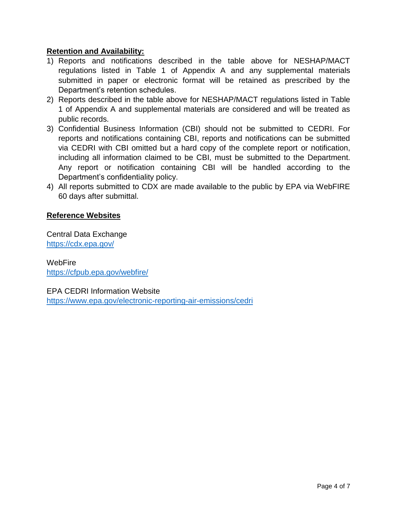### **Retention and Availability:**

- 1) Reports and notifications described in the table above for NESHAP/MACT regulations listed in Table 1 of Appendix A and any supplemental materials submitted in paper or electronic format will be retained as prescribed by the Department's retention schedules.
- 2) Reports described in the table above for NESHAP/MACT regulations listed in Table 1 of Appendix A and supplemental materials are considered and will be treated as public records.
- 3) Confidential Business Information (CBI) should not be submitted to CEDRI. For reports and notifications containing CBI, reports and notifications can be submitted via CEDRI with CBI omitted but a hard copy of the complete report or notification, including all information claimed to be CBI, must be submitted to the Department. Any report or notification containing CBI will be handled according to the Department's confidentiality policy.
- 4) All reports submitted to CDX are made available to the public by EPA via WebFIRE 60 days after submittal.

### **Reference Websites**

Central Data Exchange <https://cdx.epa.gov/>

WebFire <https://cfpub.epa.gov/webfire/>

EPA CEDRI Information Website <https://www.epa.gov/electronic-reporting-air-emissions/cedri>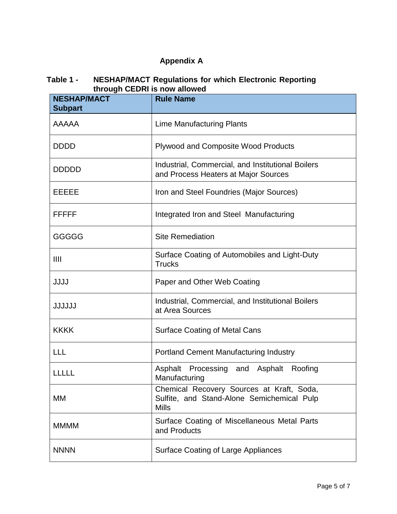# **Appendix A**

#### **Table 1 - NESHAP/MACT Regulations for which Electronic Reporting through CEDRI is now allowed**

| un ough OLDIN 13 HOW a<br><b>NESHAP/MACT</b> | <b>Rule Name</b>                                                                                        |  |
|----------------------------------------------|---------------------------------------------------------------------------------------------------------|--|
| <b>Subpart</b>                               |                                                                                                         |  |
| <b>AAAAA</b>                                 | <b>Lime Manufacturing Plants</b>                                                                        |  |
| <b>DDDD</b>                                  | Plywood and Composite Wood Products                                                                     |  |
| <b>DDDDD</b>                                 | Industrial, Commercial, and Institutional Boilers<br>and Process Heaters at Major Sources               |  |
| EEEEE                                        | Iron and Steel Foundries (Major Sources)                                                                |  |
| FFFFF                                        | Integrated Iron and Steel Manufacturing                                                                 |  |
| GGGGG                                        | <b>Site Remediation</b>                                                                                 |  |
| III                                          | Surface Coating of Automobiles and Light-Duty<br><b>Trucks</b>                                          |  |
| <b>JJJJ</b>                                  | Paper and Other Web Coating                                                                             |  |
| <b>JJJJJJ</b>                                | Industrial, Commercial, and Institutional Boilers<br>at Area Sources                                    |  |
| <b>KKKK</b>                                  | <b>Surface Coating of Metal Cans</b>                                                                    |  |
| <b>LLL</b>                                   | <b>Portland Cement Manufacturing Industry</b>                                                           |  |
| <b>LLLLL</b>                                 | Asphalt Processing<br>Asphalt<br>Roofing<br>and<br>Manufacturing                                        |  |
| МM                                           | Chemical Recovery Sources at Kraft, Soda,<br>Sulfite, and Stand-Alone Semichemical Pulp<br><b>Mills</b> |  |
| <b>MMMM</b>                                  | Surface Coating of Miscellaneous Metal Parts<br>and Products                                            |  |
| <b>NNNN</b>                                  | Surface Coating of Large Appliances                                                                     |  |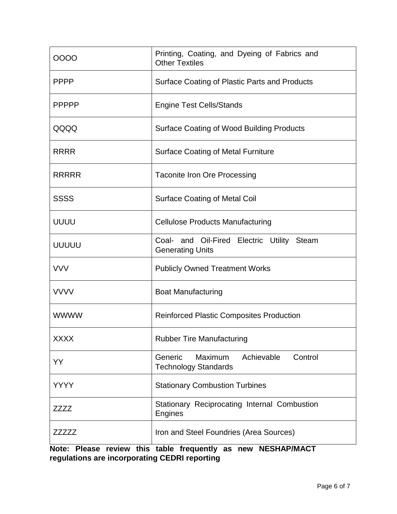| 0000         | Printing, Coating, and Dyeing of Fabrics and<br><b>Other Textiles</b>      |  |
|--------------|----------------------------------------------------------------------------|--|
| <b>PPPP</b>  | Surface Coating of Plastic Parts and Products                              |  |
| <b>PPPPP</b> | <b>Engine Test Cells/Stands</b>                                            |  |
| QQQQ         | <b>Surface Coating of Wood Building Products</b>                           |  |
| <b>RRRR</b>  | <b>Surface Coating of Metal Furniture</b>                                  |  |
| <b>RRRRR</b> | <b>Taconite Iron Ore Processing</b>                                        |  |
| <b>SSSS</b>  | <b>Surface Coating of Metal Coil</b>                                       |  |
| <b>UUUU</b>  | <b>Cellulose Products Manufacturing</b>                                    |  |
| <b>UUUUU</b> | Coal- and Oil-Fired Electric Utility Steam<br><b>Generating Units</b>      |  |
| <b>VVV</b>   | <b>Publicly Owned Treatment Works</b>                                      |  |
| <b>VVVV</b>  | <b>Boat Manufacturing</b>                                                  |  |
| <b>WWWW</b>  | <b>Reinforced Plastic Composites Production</b>                            |  |
| <b>XXXX</b>  | <b>Rubber Tire Manufacturing</b>                                           |  |
| YY           | Maximum<br>Achievable<br>Control<br>Generic<br><b>Technology Standards</b> |  |
| <b>YYYY</b>  | <b>Stationary Combustion Turbines</b>                                      |  |
| ZZZZ         | Stationary Reciprocating Internal Combustion<br>Engines                    |  |
| ZZZZZZ       | Iron and Steel Foundries (Area Sources)                                    |  |

**Note: Please review this table frequently as new NESHAP/MACT regulations are incorporating CEDRI reporting**